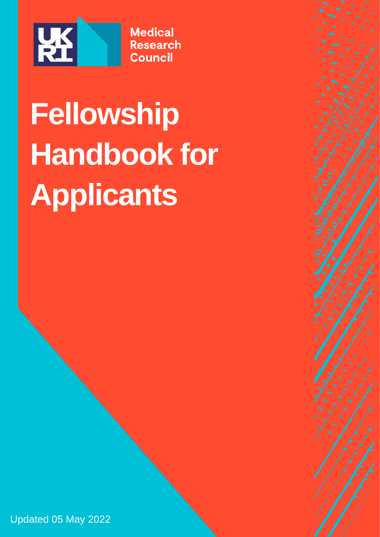

# **Fellowship Handbook for Applicants**

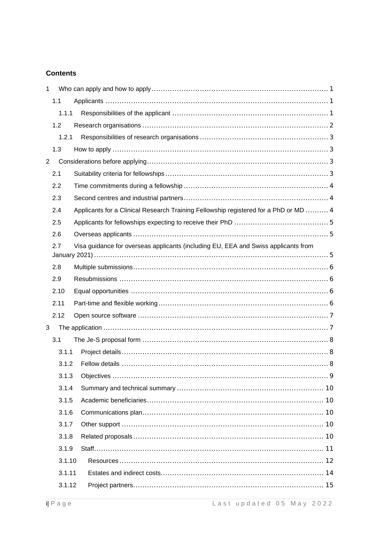#### **Contents**

| $\mathbf{1}$   |        |                                                                                      |  |
|----------------|--------|--------------------------------------------------------------------------------------|--|
|                | 1.1    |                                                                                      |  |
|                | 1.1.1  |                                                                                      |  |
|                | 1.2    |                                                                                      |  |
|                | 1.2.1  |                                                                                      |  |
|                | 1.3    |                                                                                      |  |
| $\overline{2}$ |        |                                                                                      |  |
|                | 2.1    |                                                                                      |  |
|                | 2.2    |                                                                                      |  |
|                | 2.3    |                                                                                      |  |
|                | 2.4    | Applicants for a Clinical Research Training Fellowship registered for a PhD or MD  4 |  |
|                | 2.5    |                                                                                      |  |
|                | 2.6    |                                                                                      |  |
|                | 2.7    | Visa guidance for overseas applicants (including EU, EEA and Swiss applicants from   |  |
|                | 2.8    |                                                                                      |  |
|                | 2.9    |                                                                                      |  |
|                | 2.10   |                                                                                      |  |
|                | 2.11   |                                                                                      |  |
|                | 2.12   |                                                                                      |  |
| 3              |        |                                                                                      |  |
| 3.1            |        |                                                                                      |  |
|                | 3.1.1  |                                                                                      |  |
|                | 3.1.2  |                                                                                      |  |
|                | 3.1.3  |                                                                                      |  |
|                | 3.1.4  |                                                                                      |  |
|                | 3.1.5  |                                                                                      |  |
|                | 3.1.6  |                                                                                      |  |
|                | 3.1.7  |                                                                                      |  |
|                | 3.1.8  |                                                                                      |  |
|                | 3.1.9  |                                                                                      |  |
|                | 3.1.10 |                                                                                      |  |
|                | 3.1.11 |                                                                                      |  |
|                | 3.1.12 |                                                                                      |  |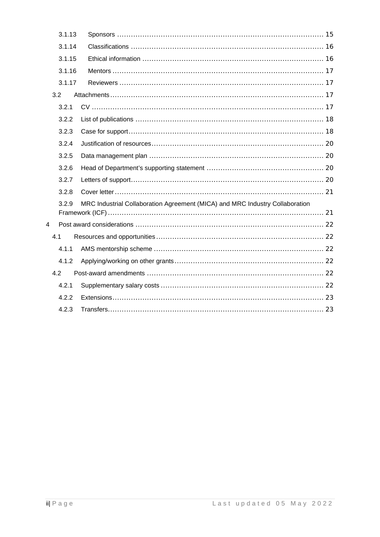| 3.1.13 |                                                                              |  |
|--------|------------------------------------------------------------------------------|--|
| 3.1.14 |                                                                              |  |
| 3.1.15 |                                                                              |  |
| 3.1.16 |                                                                              |  |
| 3.1.17 |                                                                              |  |
| 3.2    |                                                                              |  |
| 3.2.1  |                                                                              |  |
| 3.2.2  |                                                                              |  |
| 3.2.3  |                                                                              |  |
| 3.2.4  |                                                                              |  |
| 3.2.5  |                                                                              |  |
| 3.2.6  |                                                                              |  |
| 3.2.7  |                                                                              |  |
| 3.2.8  |                                                                              |  |
| 3.2.9  | MRC Industrial Collaboration Agreement (MICA) and MRC Industry Collaboration |  |
| 4      |                                                                              |  |
| 4.1    |                                                                              |  |
| 4.1.1  |                                                                              |  |
| 4.1.2  |                                                                              |  |
| 4.2    |                                                                              |  |
| 4.2.1  |                                                                              |  |
| 4.2.2  |                                                                              |  |
| 4.2.3  |                                                                              |  |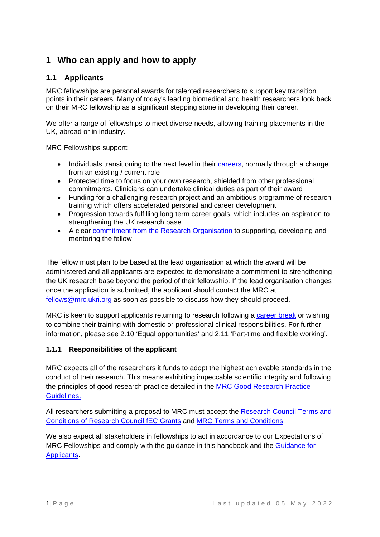# <span id="page-3-0"></span>**1 Who can apply and how to apply**

## <span id="page-3-1"></span>**1.1 Applicants**

MRC fellowships are personal awards for talented researchers to support key transition points in their careers. Many of today's leading biomedical and health researchers look back on their MRC fellowship as a significant stepping stone in developing their career.

We offer a range of fellowships to meet diverse needs, allowing training placements in the UK, abroad or in industry.

MRC Fellowships support:

- Individuals transitioning to the next level in their [careers,](http://www.mrc.ac.uk/skills-careers/interactive-career-framework/) normally through a change from an existing / current role
- Protected time to focus on your own research, shielded from other professional commitments. Clinicians can undertake clinical duties as part of their award
- Funding for a challenging research project **and** an ambitious programme of research training which offers accelerated personal and career development
- Progression towards fulfilling long term career goals, which includes an aspiration to strengthening the UK research base
- A clear [commitment from the Research Organisation](http://www.rcuk.ac.uk/RCUK-prod/assets/documents/skills/FellowshipStatement.pdf) to supporting, developing and mentoring the fellow

The fellow must plan to be based at the lead organisation at which the award will be administered and all applicants are expected to demonstrate a commitment to strengthening the UK research base beyond the period of their fellowship. If the lead organisation changes once the application is submitted, the applicant should contact the MRC at [fellows@mrc.ukri.org](mailto:fellows@mrc.ukri.org) as soon as possible to discuss how they should proceed.

MRC is keen to support applicants returning to research following a [career break](http://www.mrc.ac.uk/skills-careers/additional-career-support/flexible-working-policies/) or wishing to combine their training with domestic or professional clinical responsibilities. For further information, please see 2.10 'Equal opportunities' and 2.11 'Part-time and flexible working'.

#### <span id="page-3-2"></span>**1.1.1 Responsibilities of the applicant**

MRC expects all of the researchers it funds to adopt the highest achievable standards in the conduct of their research. This means exhibiting impeccable scientific integrity and following the principles of good research practice detailed in the [MRC Good Research Practice](http://www.mrc.ac.uk/research/research-policy-ethics/good-research-practice/)  [Guidelines.](http://www.mrc.ac.uk/research/research-policy-ethics/good-research-practice/)

All researchers submitting a proposal to MRC must accept the [Research Council](https://www.ukri.org/funding/information-for-award-holders/grant-terms-and-conditions/) Terms [and](https://www.ukri.org/funding/information-for-award-holders/grant-terms-and-conditions/)  [Conditions of Research Council fEC Grants](https://www.ukri.org/funding/information-for-award-holders/grant-terms-and-conditions/) and [MRC Terms and Conditions.](http://www.mrc.ac.uk/funding/guidance-for-mrc-award-holders/information-for-award-holders/)

We also expect all stakeholders in fellowships to act in accordance to our Expectations of MRC Fellowships and comply with the guidance in this handbook and the [Guidance for](http://www.mrc.ac.uk/documents/pdf/guidance-for-applicants-and-award-holders/)  [Applicants.](http://www.mrc.ac.uk/documents/pdf/guidance-for-applicants-and-award-holders/)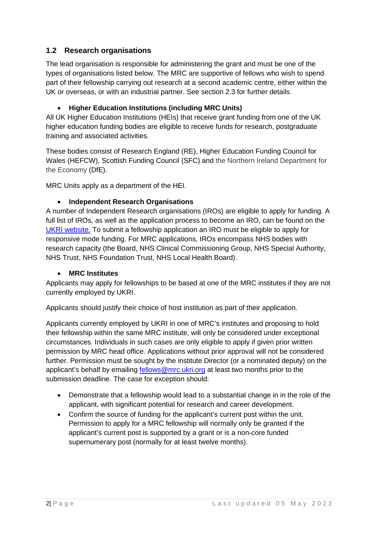# <span id="page-4-0"></span>**1.2 Research organisations**

The lead organisation is responsible for administering the grant and must be one of the types of organisations listed below. The MRC are supportive of fellows who wish to spend part of their fellowship carrying out research at a second academic centre, either within the UK or overseas, or with an industrial partner. See section 2.3 for further details.

#### • **Higher Education Institutions (including MRC Units)**

All UK Higher Education Institutions (HEIs) that receive grant funding from one of the UK higher education funding bodies are eligible to receive funds for research, postgraduate training and associated activities.

These bodies consist of Research England (RE), Higher Education Funding Council for Wales (HEFCW), Scottish Funding Council (SFC) and the Northern Ireland Department for the Economy (DfE).

MRC Units apply as a department of the HEI.

#### • **Independent Research Organisations**

A number of Independent Research organisations (IROs) are eligible to apply for funding. A full list of IROs, as well as the application process to become an IRO, can be found on the [UKRI website.](https://www.ukri.org/funding/how-to-apply/eligibility/) To submit a fellowship application an IRO must be eligible to apply for responsive mode funding. For MRC applications, IROs encompass NHS bodies with research capacity (the Board, NHS Clinical Commissioning Group, NHS Special Authority, NHS Trust, NHS Foundation Trust, NHS Local Health Board).

#### • **MRC Institutes**

Applicants may apply for fellowships to be based at one of the MRC institutes if they are not currently employed by UKRI.

Applicants should justify their choice of host institution as part of their application.

Applicants currently employed by UKRI in one of MRC's institutes and proposing to hold their fellowship within the same MRC institute, will only be considered under exceptional circumstances. Individuals in such cases are only eligible to apply if given prior written permission by MRC head office. Applications without prior approval will not be considered further. Permission must be sought by the institute Director (or a nominated deputy) on the applicant's behalf by emailing [fellows@mrc.ukri.org](mailto:fellows@mrc.ukri.org) at least two months prior to the submission deadline. The case for exception should:

- Demonstrate that a fellowship would lead to a substantial change in in the role of the applicant, with significant potential for research and career development.
- Confirm the source of funding for the applicant's current post within the unit. Permission to apply for a MRC fellowship will normally only be granted if the applicant's current post is supported by a grant or is a non-core funded supernumerary post (normally for at least twelve months).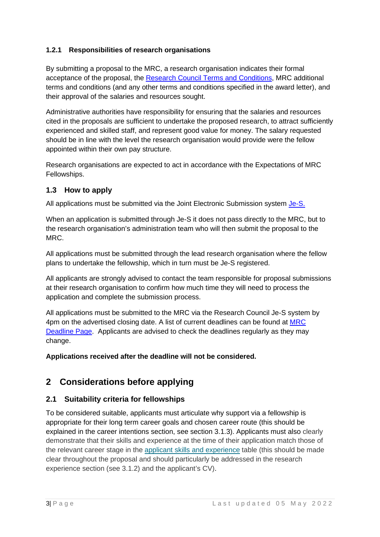#### <span id="page-5-0"></span>**1.2.1 Responsibilities of research organisations**

By submitting a proposal to the MRC, a research organisation indicates their formal acceptance of the proposal, the [Research Council Terms and Conditions,](https://www.ukri.org/funding/information-for-award-holders/grant-terms-and-conditions/) MRC additional terms and conditions (and any other terms and conditions specified in the award letter), and their approval of the salaries and resources sought.

Administrative authorities have responsibility for ensuring that the salaries and resources cited in the proposals are sufficient to undertake the proposed research, to attract sufficiently experienced and skilled staff, and represent good value for money. The salary requested should be in line with the level the research organisation would provide were the fellow appointed within their own pay structure.

Research organisations are expected to act in accordance with the Expectations of MRC Fellowships.

#### <span id="page-5-1"></span>**1.3 How to apply**

All applications must be submitted via the Joint Electronic Submission system [Je-S.](https://je-s.rcuk.ac.uk/JeS2WebLoginSite/Login.aspx)

When an application is submitted through Je-S it does not pass directly to the MRC, but to the research organisation's administration team who will then submit the proposal to the MRC.

All applications must be submitted through the lead research organisation where the fellow plans to undertake the fellowship, which in turn must be Je-S registered.

All applicants are strongly advised to contact the team responsible for proposal submissions at their research organisation to confirm how much time they will need to process the application and complete the submission process.

All applications must be submitted to the MRC via the Research Council Je-S system by 4pm on the advertised closing date. A list of current deadlines can be found at [MRC](http://www.mrc.ac.uk/funding/deadlines/fellowships-application-submission-deadlines/)  [Deadline Page.](http://www.mrc.ac.uk/funding/deadlines/fellowships-application-submission-deadlines/) Applicants are advised to check the deadlines regularly as they may change.

**Applications received after the deadline will not be considered.**

# <span id="page-5-2"></span>**2 Considerations before applying**

#### <span id="page-5-3"></span>**2.1 Suitability criteria for fellowships**

To be considered suitable, applicants must articulate why support via a fellowship is appropriate for their long term career goals and chosen career route (this should be explained in the career intentions section, see section 3.1.3). Applicants must also clearly demonstrate that their skills and experience at the time of their application match those of the relevant career stage in the applicant skills and [experience](http://www.mrc.ac.uk/skills-careers/applicant-skills-and-experience/) table (this should be made clear throughout the proposal and should particularly be addressed in the research experience section (see 3.1.2) and the applicant's CV).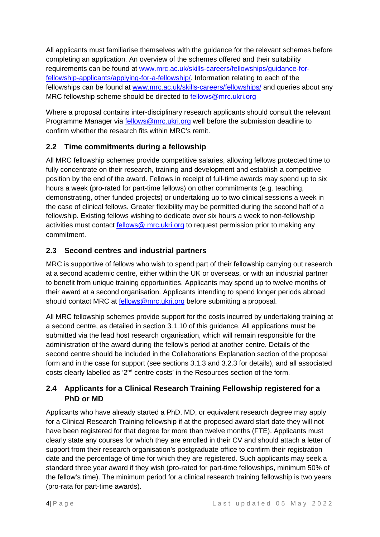All applicants must familiarise themselves with the guidance for the relevant schemes before completing an application. An overview of the schemes offered and their suitability requirements can be found at [www.mrc.ac.uk/skills-careers/fellowships/guidance-for](http://www.mrc.ac.uk/skills-careers/fellowships/guidance-for-fellowship-applicants/applying-for-a-fellowship/)[fellowship-applicants/applying-for-a-fellowship/.](http://www.mrc.ac.uk/skills-careers/fellowships/guidance-for-fellowship-applicants/applying-for-a-fellowship/) Information relating to each of the fellowships can be found at [www.mrc.ac.uk/skills-careers/fellowships/](http://www.mrc.ac.uk/skills-careers/fellowships/) and queries about any MRC fellowship scheme should be directed to fellows@mrc.ukri.org

Where a proposal contains inter-disciplinary research applicants should consult the relevant Programme Manager via **fellows@mrc.ukri.org** well before the submission deadline to confirm whether the research fits within MRC's remit.

# <span id="page-6-0"></span>**2.2 Time commitments during a fellowship**

All MRC fellowship schemes provide competitive salaries, allowing fellows protected time to fully concentrate on their research, training and development and establish a competitive position by the end of the award. Fellows in receipt of full-time awards may spend up to six hours a week (pro-rated for part-time fellows) on other commitments (e.g. teaching, demonstrating, other funded projects) or undertaking up to two clinical sessions a week in the case of clinical fellows. Greater flexibility may be permitted during the second half of a fellowship. Existing fellows wishing to dedicate over six hours a week to non-fellowship activities must contact [fellows@](mailto:fellows@headoffice.mrc.ac.uk) mrc[.ukri.org](mailto:fellows@headoffice.mrc.ac.uk) to request permission prior to making any commitment.

# <span id="page-6-1"></span>**2.3 Second centres and industrial partners**

MRC is supportive of fellows who wish to spend part of their fellowship carrying out research at a second academic centre, either within the UK or overseas, or with an industrial partner to benefit from unique training opportunities. Applicants may spend up to twelve months of their award at a second organisation. Applicants intending to spend longer periods abroad should contact MRC at fellows@mrc.ukri.org before submitting a proposal.

All MRC fellowship schemes provide support for the costs incurred by undertaking training at a second centre, as detailed in section [3.1.10](#page-14-0) of this guidance. All applications must be submitted via the lead host research organisation, which will remain responsible for the administration of the award during the fellow's period at another centre. Details of the second centre should be included in the Collaborations Explanation section of the proposal form and in the case for support (see sections [3.1.3](#page-11-0) and [3.2.3](#page-20-1) for details), and all associated costs clearly labelled as '2nd centre costs' in the Resources section of the form.

# <span id="page-6-2"></span>**2.4 Applicants for a Clinical Research Training Fellowship registered for a PhD or MD**

Applicants who have already started a PhD, MD, or equivalent research degree may apply for a Clinical Research Training fellowship if at the proposed award start date they will not have been registered for that degree for more than twelve months (FTE). Applicants must clearly state any courses for which they are enrolled in their CV and should attach a letter of support from their research organisation's postgraduate office to confirm their registration date and the percentage of time for which they are registered. Such applicants may seek a standard three year award if they wish (pro-rated for part-time fellowships, minimum 50% of the fellow's time). The minimum period for a clinical research training fellowship is two years (pro-rata for part-time awards).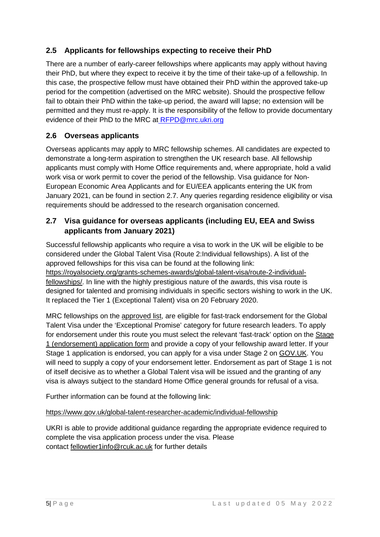# <span id="page-7-0"></span>**2.5 Applicants for fellowships expecting to receive their PhD**

There are a number of early-career fellowships where applicants may apply without having their PhD, but where they expect to receive it by the time of their take-up of a fellowship. In this case, the prospective fellow must have obtained their PhD within the approved take-up period for the competition (advertised on the MRC website). Should the prospective fellow fail to obtain their PhD within the take-up period, the award will lapse; no extension will be permitted and they must re-apply. It is the responsibility of the fellow to provide documentary evidence of their PhD to the MRC at RFPD@mrc.ukri.org

# <span id="page-7-1"></span>**2.6 Overseas applicants**

Overseas applicants may apply to MRC fellowship schemes. All candidates are expected to demonstrate a long-term aspiration to strengthen the UK research base. All fellowship applicants must comply with Home Office requirements and, where appropriate, hold a valid work visa or work permit to cover the period of the fellowship. Visa guidance for Non-European Economic Area Applicants and for EU/EEA applicants entering the UK from January 2021, can be found in section 2.7. Any queries regarding residence eligibility or visa requirements should be addressed to the research organisation concerned.

#### <span id="page-7-2"></span>**2.7 Visa guidance for overseas applicants (including EU, EEA and Swiss applicants from January 2021)**

Successful fellowship applicants who require a visa to work in the UK will be eligible to be considered under the Global Talent Visa (Route 2:Individual fellowships). A list of the approved fellowships for this visa can be found at the following link: [https://royalsociety.org/grants-schemes-awards/global-talent-visa/route-2-individual](https://royalsociety.org/grants-schemes-awards/global-talent-visa/route-2-individual-fellowships/)[fellowships/.](https://royalsociety.org/grants-schemes-awards/global-talent-visa/route-2-individual-fellowships/) In line with the highly prestigious nature of the awards, this visa route is designed for talented and promising individuals in specific sectors wishing to work in the UK. It replaced the Tier 1 (Exceptional Talent) visa on 20 February 2020.

MRC fellowships on the [approved list,](https://royalsociety.org/grants-schemes-awards/global-talent-visa/route-2-individual-fellowships/) are eligible for fast-track endorsement for the Global Talent Visa under the 'Exceptional Promise' category for future research leaders. To apply for endorsement under this route you must select the relevant 'fast-track' option on the [Stage](https://www.gov.uk/global-talent/apply)  [1 \(endorsement\) application form](https://www.gov.uk/global-talent/apply) and provide a copy of your fellowship award letter. If your Stage 1 application is endorsed, you can apply for a visa under Stage 2 on [GOV.UK.](https://www.gov.uk/global-talent/) You will need to supply a copy of your endorsement letter. Endorsement as part of Stage 1 is not of itself decisive as to whether a Global Talent visa will be issued and the granting of any visa is always subject to the standard Home Office general grounds for refusal of a visa.

Further information can be found at the following link:

#### <https://www.gov.uk/global-talent-researcher-academic/individual-fellowship>

UKRI is able to provide additional guidance regarding the appropriate evidence required to complete the visa application process under the visa. Please contact [fellowtier1info@rcuk.ac.uk](mailto:fellowtier1info@rcuk.ac.uk) for further details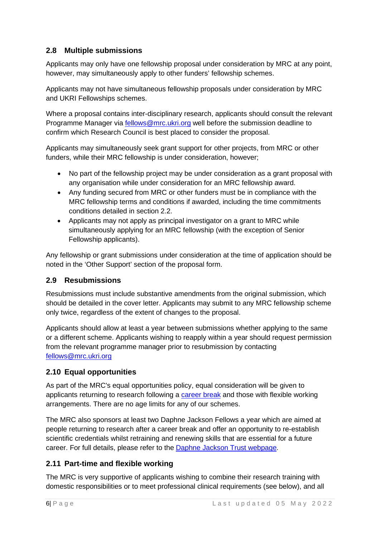# <span id="page-8-0"></span>**2.8 Multiple submissions**

Applicants may only have one fellowship proposal under consideration by MRC at any point, however, may simultaneously apply to other funders' fellowship schemes.

Applicants may not have simultaneous fellowship proposals under consideration by MRC and UKRI Fellowships schemes.

Where a proposal contains inter-disciplinary research, applicants should consult the relevant Programme Manager via fellows@mrc.ukri.org well before the submission deadline to confirm which Research Council is best placed to consider the proposal.

Applicants may simultaneously seek grant support for other projects, from MRC or other funders, while their MRC fellowship is under consideration, however;

- No part of the fellowship project may be under consideration as a grant proposal with any organisation while under consideration for an MRC fellowship award.
- Any funding secured from MRC or other funders must be in compliance with the MRC fellowship terms and conditions if awarded, including the time commitments conditions detailed in section [2.2.](#page-6-0)
- Applicants may not apply as principal investigator on a grant to MRC while simultaneously applying for an MRC fellowship (with the exception of Senior Fellowship applicants).

Any fellowship or grant submissions under consideration at the time of application should be noted in the 'Other Support' section of the proposal form.

#### <span id="page-8-1"></span>**2.9 Resubmissions**

Resubmissions must include substantive amendments from the original submission, which should be detailed in the cover letter. Applicants may submit to any MRC fellowship scheme only twice, regardless of the extent of changes to the proposal.

Applicants should allow at least a year between submissions whether applying to the same or a different scheme. Applicants wishing to reapply within a year should request permission from the relevant programme manager prior to resubmission by contacting [fellows@mrc.ukri.org](mailto:fellows@mrc.ukri.org)

#### <span id="page-8-2"></span>**2.10 Equal opportunities**

As part of the MRC's equal opportunities policy, equal consideration will be given to applicants returning to research following a [career break](http://www.mrc.ac.uk/skills-careers/additional-career-support/flexible-working-policies/) and those with flexible working arrangements. There are no age limits for any of our schemes.

The MRC also sponsors at least two Daphne Jackson Fellows a year which are aimed at people returning to research after a career break and offer an opportunity to re-establish scientific credentials whilst retraining and renewing skills that are essential for a future career. For full details, please refer to the **[Daphne Jackson Trust](http://www.daphnejackson.org/) webpage**.

#### <span id="page-8-3"></span>**2.11 Part-time and flexible working**

The MRC is very supportive of applicants wishing to combine their research training with domestic responsibilities or to meet professional clinical requirements (see below), and all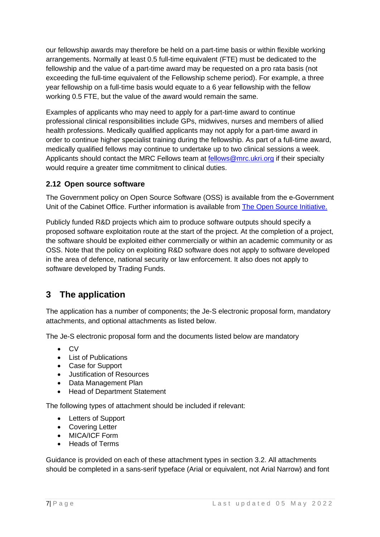our fellowship awards may therefore be held on a part-time basis or within flexible working arrangements. Normally at least 0.5 full-time equivalent (FTE) must be dedicated to the fellowship and the value of a part-time award may be requested on a pro rata basis (not exceeding the full-time equivalent of the Fellowship scheme period). For example, a three year fellowship on a full-time basis would equate to a 6 year fellowship with the fellow working 0.5 FTE, but the value of the award would remain the same.

Examples of applicants who may need to apply for a part-time award to continue professional clinical responsibilities include GPs, midwives, nurses and members of allied health professions. Medically qualified applicants may not apply for a part-time award in order to continue higher specialist training during the fellowship. As part of a full-time award, medically qualified fellows may continue to undertake up to two clinical sessions a week. Applicants should contact the MRC Fellows team at [fellows@mrc.ukri.org](mailto:fellows@headoffice.mrc.ac.uk) if their specialty would require a greater time commitment to clinical duties.

# <span id="page-9-0"></span>**2.12 Open source software**

The Government policy on Open Source Software (OSS) is available from the e-Government Unit of the Cabinet Office. Further information is available from [The Open Source Initiative.](http://opensource.org/)

Publicly funded R&D projects which aim to produce software outputs should specify a proposed software exploitation route at the start of the project. At the completion of a project, the software should be exploited either commercially or within an academic community or as OSS. Note that the policy on exploiting R&D software does not apply to software developed in the area of defence, national security or law enforcement. It also does not apply to software developed by Trading Funds.

# <span id="page-9-1"></span>**3 The application**

The application has a number of components; the Je-S electronic proposal form, mandatory attachments, and optional attachments as listed below.

The Je-S electronic proposal form and the documents listed below are mandatory

- CV
- List of Publications
- Case for Support
- Justification of Resources
- Data Management Plan
- Head of Department Statement

The following types of attachment should be included if relevant:

- Letters of Support
- Covering Letter
- MICA/ICF Form
- Heads of Terms

Guidance is provided on each of these attachment types in section [3.2.](#page-19-2) All attachments should be completed in a sans-serif typeface (Arial or equivalent, not Arial Narrow) and font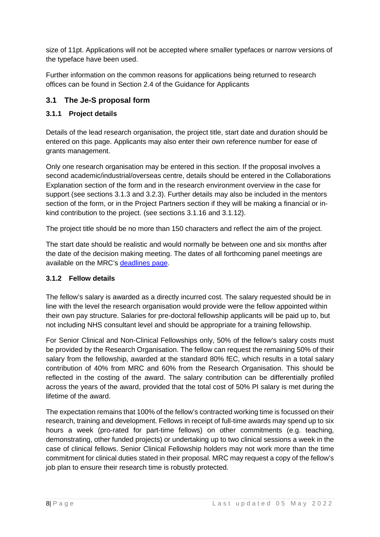size of 11pt. Applications will not be accepted where smaller typefaces or narrow versions of the typeface have been used.

Further information on the common reasons for applications being returned to research offices can be found in Section 2.4 of the Guidance for Applicants

# <span id="page-10-0"></span>**3.1 The Je-S proposal form**

#### <span id="page-10-1"></span>**3.1.1 Project details**

Details of the lead research organisation, the project title, start date and duration should be entered on this page. Applicants may also enter their own reference number for ease of grants management.

Only one research organisation may be entered in this section. If the proposal involves a second academic/industrial/overseas centre, details should be entered in the Collaborations Explanation section of the form and in the research environment overview in the case for support (see sections [3.1.3](#page-11-0) and [3.2.3\)](#page-20-1). Further details may also be included in the mentors section of the form, or in the Project Partners section if they will be making a financial or inkind contribution to the project. (see sections [3.1.16](#page-19-0) and [3.1.12\)](#page-17-0).

The project title should be no more than 150 characters and reflect the aim of the project.

The start date should be realistic and would normally be between one and six months after the date of the decision making meeting. The dates of all forthcoming panel meetings are available on the MRC's [deadlines page.](http://www.mrc.ac.uk/funding/deadlines/fellowships-application-submission-deadlines/)

#### <span id="page-10-2"></span>**3.1.2 Fellow details**

The fellow's salary is awarded as a directly incurred cost. The salary requested should be in line with the level the research organisation would provide were the fellow appointed within their own pay structure. Salaries for pre-doctoral fellowship applicants will be paid up to, but not including NHS consultant level and should be appropriate for a training fellowship.

For Senior Clinical and Non-Clinical Fellowships only, 50% of the fellow's salary costs must be provided by the Research Organisation. The fellow can request the remaining 50% of their salary from the fellowship, awarded at the standard 80% fEC, which results in a total salary contribution of 40% from MRC and 60% from the Research Organisation. This should be reflected in the costing of the award. The salary contribution can be differentially profiled across the years of the award, provided that the total cost of 50% PI salary is met during the lifetime of the award.

The expectation remains that 100% of the fellow's contracted working time is focussed on their research, training and development. Fellows in receipt of full-time awards may spend up to six hours a week (pro-rated for part-time fellows) on other commitments (e.g. teaching, demonstrating, other funded projects) or undertaking up to two clinical sessions a week in the case of clinical fellows. Senior Clinical Fellowship holders may not work more than the time commitment for clinical duties stated in their proposal. MRC may request a copy of the fellow's job plan to ensure their research time is robustly protected.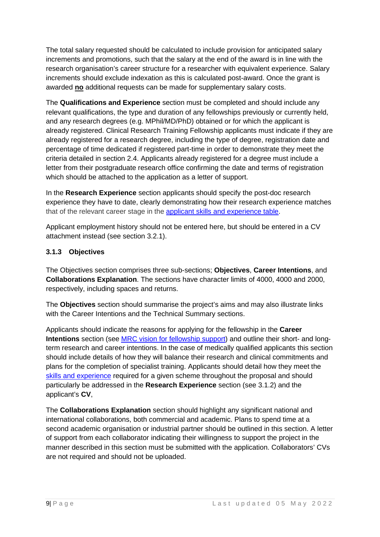The total salary requested should be calculated to include provision for anticipated salary increments and promotions, such that the salary at the end of the award is in line with the research organisation's career structure for a researcher with equivalent experience. Salary increments should exclude indexation as this is calculated post-award. Once the grant is awarded **no** additional requests can be made for supplementary salary costs.

The **Qualifications and Experience** section must be completed and should include any relevant qualifications, the type and duration of any fellowships previously or currently held, and any research degrees (e.g. MPhil/MD/PhD) obtained or for which the applicant is already registered. Clinical Research Training Fellowship applicants must indicate if they are already registered for a research degree, including the type of degree, registration date and percentage of time dedicated if registered part-time in order to demonstrate they meet the criteria detailed in section [2.4.](#page-6-2) Applicants already registered for a degree must include a letter from their postgraduate research office confirming the date and terms of registration which should be attached to the application as a letter of support.

In the **Research Experience** section applicants should specify the post-doc research experience they have to date, clearly demonstrating how their research experience matches that of the relevant career stage in the [applicant skills and experience table.](http://www.mrc.ac.uk/skills-careers/applicant-skills-and-experience/)

Applicant employment history should not be entered here, but should be entered in a CV attachment instead (see section [3.2.1\)](#page-19-3).

#### <span id="page-11-0"></span>**3.1.3 Objectives**

The Objectives section comprises three sub-sections; **Objectives**, **Career Intentions**, and **Collaborations Explanation**. The sections have character limits of 4000, 4000 and 2000, respectively, including spaces and returns.

The **Objectives** section should summarise the project's aims and may also illustrate links with the Career Intentions and the Technical Summary sections.

Applicants should indicate the reasons for applying for the fellowship in the **Career Intentions** section (see [MRC vision for fellowship support\)](http://www.mrc.ac.uk/skills-careers/fellowships/) and outline their short- and longterm research and career intentions. In the case of medically qualified applicants this section should include details of how they will balance their research and clinical commitments and plans for the completion of specialist training. Applicants should detail how they meet the [skills and experience](http://www.mrc.ac.uk/skills-careers/applicant-skills-and-experience/) required for a given scheme throughout the proposal and should particularly be addressed in the **Research Experience** section (see [3.1.2\)](#page-10-2) and the applicant's **CV**,

The **Collaborations Explanation** section should highlight any significant national and international collaborations, both commercial and academic. Plans to spend time at a second academic organisation or industrial partner should be outlined in this section. A letter of support from each collaborator indicating their willingness to support the project in the manner described in this section must be submitted with the application. Collaborators' CVs are not required and should not be uploaded.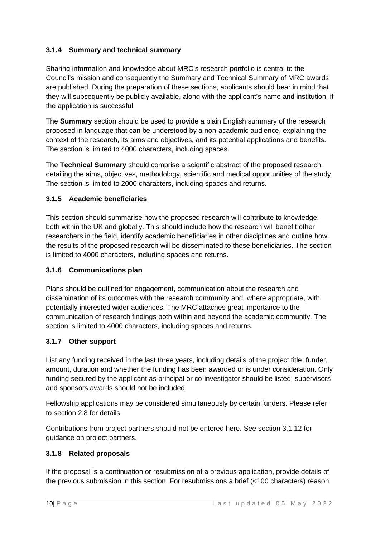#### <span id="page-12-0"></span>**3.1.4 Summary and technical summary**

Sharing information and knowledge about MRC's research portfolio is central to the Council's mission and consequently the Summary and Technical Summary of MRC awards are published. During the preparation of these sections, applicants should bear in mind that they will subsequently be publicly available, along with the applicant's name and institution, if the application is successful.

The **Summary** section should be used to provide a plain English summary of the research proposed in language that can be understood by a non-academic audience, explaining the context of the research, its aims and objectives, and its potential applications and benefits. The section is limited to 4000 characters, including spaces.

The **Technical Summary** should comprise a scientific abstract of the proposed research, detailing the aims, objectives, methodology, scientific and medical opportunities of the study. The section is limited to 2000 characters, including spaces and returns.

#### <span id="page-12-1"></span>**3.1.5 Academic beneficiaries**

This section should summarise how the proposed research will contribute to knowledge, both within the UK and globally. This should include how the research will benefit other researchers in the field, identify academic beneficiaries in other disciplines and outline how the results of the proposed research will be disseminated to these beneficiaries. The section is limited to 4000 characters, including spaces and returns.

#### <span id="page-12-2"></span>**3.1.6 Communications plan**

Plans should be outlined for engagement, communication about the research and dissemination of its outcomes with the research community and, where appropriate, with potentially interested wider audiences. The MRC attaches great importance to the communication of research findings both within and beyond the academic community. The section is limited to 4000 characters, including spaces and returns.

#### <span id="page-12-3"></span>**3.1.7 Other support**

List any funding received in the last three years, including details of the project title, funder, amount, duration and whether the funding has been awarded or is under consideration. Only funding secured by the applicant as principal or co-investigator should be listed; supervisors and sponsors awards should not be included.

Fellowship applications may be considered simultaneously by certain funders. Please refer to section [2.8](#page-8-0) for details.

Contributions from project partners should not be entered here. See section [3.1.12](#page-17-0) for guidance on project partners.

#### <span id="page-12-4"></span>**3.1.8 Related proposals**

If the proposal is a continuation or resubmission of a previous application, provide details of the previous submission in this section. For resubmissions a brief (<100 characters) reason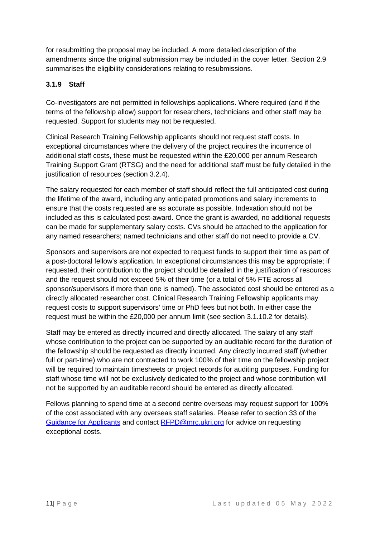for resubmitting the proposal may be included. A more detailed description of the amendments since the original submission may be included in the cover letter. Section [2.9](#page-8-1) summarises the eligibility considerations relating to resubmissions.

## <span id="page-13-0"></span>**3.1.9 Staff**

Co-investigators are not permitted in fellowships applications. Where required (and if the terms of the fellowship allow) support for researchers, technicians and other staff may be requested. Support for students may not be requested.

Clinical Research Training Fellowship applicants should not request staff costs. In exceptional circumstances where the delivery of the project requires the incurrence of additional staff costs, these must be requested within the £20,000 per annum Research Training Support Grant (RTSG) and the need for additional staff must be fully detailed in the justification of resources (section [3.2.4\)](#page-22-0).

The salary requested for each member of staff should reflect the full anticipated cost during the lifetime of the award, including any anticipated promotions and salary increments to ensure that the costs requested are as accurate as possible. Indexation should not be included as this is calculated post-award. Once the grant is awarded, no additional requests can be made for supplementary salary costs. CVs should be attached to the application for any named researchers; named technicians and other staff do not need to provide a CV.

Sponsors and supervisors are not expected to request funds to support their time as part of a post-doctoral fellow's application. In exceptional circumstances this may be appropriate; if requested, their contribution to the project should be detailed in the justification of resources and the request should not exceed 5% of their time (or a total of 5% FTE across all sponsor/supervisors if more than one is named). The associated cost should be entered as a directly allocated researcher cost. Clinical Research Training Fellowship applicants may request costs to support supervisors' time or PhD fees but not both. In either case the request must be within the £20,000 per annum limit (see section [3.1.10.2](#page-14-1) for details).

Staff may be entered as directly incurred and directly allocated. The salary of any staff whose contribution to the project can be supported by an auditable record for the duration of the fellowship should be requested as directly incurred. Any directly incurred staff (whether full or part-time) who are not contracted to work 100% of their time on the fellowship project will be required to maintain timesheets or project records for auditing purposes. Funding for staff whose time will not be exclusively dedicated to the project and whose contribution will not be supported by an auditable record should be entered as directly allocated.

Fellows planning to spend time at a second centre overseas may request support for 100% of the cost associated with any overseas staff salaries. Please refer to section 33 of the [Guidance for Applicants](mailto:Guidance%20for%20Applicants) and contact [RFPD@mrc.ukri.org](mailto:RFPD@mrc.ukri.org) for advice on requesting exceptional costs.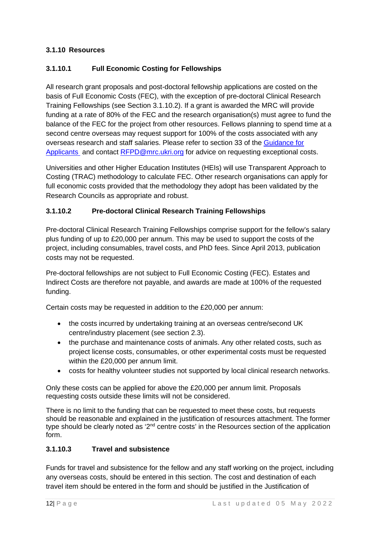#### <span id="page-14-0"></span>**3.1.10 Resources**

#### **3.1.10.1 Full Economic Costing for Fellowships**

All research grant proposals and post-doctoral fellowship applications are costed on the basis of Full Economic Costs (FEC), with the exception of pre-doctoral Clinical Research Training Fellowships (see Section [3.1.10.2\)](#page-14-1). If a grant is awarded the MRC will provide funding at a rate of 80% of the FEC and the research organisation(s) must agree to fund the balance of the FEC for the project from other resources. Fellows planning to spend time at a second centre overseas may request support for 100% of the costs associated with any overseas research and staff salaries. Please refer to section 33 of the [Guidance for](http://www.mrc.ac.uk/documents/pdf/guidance-for-applicants-and-award-holders/)  [Applicants](http://www.mrc.ac.uk/documents/pdf/guidance-for-applicants-and-award-holders/) and contact [RFPD@mrc.ukri.org](mailto:RFPD@mrc.ukri.org) for advice on requesting exceptional costs.

Universities and other Higher Education Institutes (HEIs) will use Transparent Approach to Costing (TRAC) methodology to calculate FEC. Other research organisations can apply for full economic costs provided that the methodology they adopt has been validated by the Research Councils as appropriate and robust.

#### <span id="page-14-1"></span>**3.1.10.2 Pre-doctoral Clinical Research Training Fellowships**

Pre-doctoral Clinical Research Training Fellowships comprise support for the fellow's salary plus funding of up to £20,000 per annum. This may be used to support the costs of the project, including consumables, travel costs, and PhD fees. Since April 2013, publication costs may not be requested.

Pre-doctoral fellowships are not subject to Full Economic Costing (FEC). Estates and Indirect Costs are therefore not payable, and awards are made at 100% of the requested funding.

Certain costs may be requested in addition to the £20,000 per annum:

- the costs incurred by undertaking training at an overseas centre/second UK centre/industry placement (see section [2.3\)](#page-6-1).
- the purchase and maintenance costs of animals. Any other related costs, such as project license costs, consumables, or other experimental costs must be requested within the £20,000 per annum limit.
- costs for healthy volunteer studies not supported by local clinical research networks.

Only these costs can be applied for above the £20,000 per annum limit. Proposals requesting costs outside these limits will not be considered.

There is no limit to the funding that can be requested to meet these costs, but requests should be reasonable and explained in the justification of resources attachment. The former type should be clearly noted as '2<sup>nd</sup> centre costs' in the Resources section of the application form.

#### **3.1.10.3 Travel and subsistence**

Funds for travel and subsistence for the fellow and any staff working on the project, including any overseas costs, should be entered in this section. The cost and destination of each travel item should be entered in the form and should be justified in the Justification of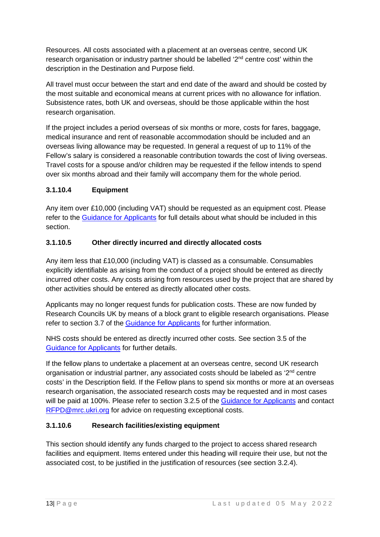Resources. All costs associated with a placement at an overseas centre, second UK research organisation or industry partner should be labelled '2<sup>nd</sup> centre cost' within the description in the Destination and Purpose field.

All travel must occur between the start and end date of the award and should be costed by the most suitable and economical means at current prices with no allowance for inflation. Subsistence rates, both UK and overseas, should be those applicable within the host research organisation.

If the project includes a period overseas of six months or more, costs for fares, baggage, medical insurance and rent of reasonable accommodation should be included and an overseas living allowance may be requested. In general a request of up to 11% of the Fellow's salary is considered a reasonable contribution towards the cost of living overseas. Travel costs for a spouse and/or children may be requested if the fellow intends to spend over six months abroad and their family will accompany them for the whole period.

# **3.1.10.4 Equipment**

Any item over £10,000 (including VAT) should be requested as an equipment cost. Please refer to the [Guidance](http://www.mrc.ac.uk/documents/pdf/guidance-for-applicants-and-award-holders/) [for Applicants](http://www.mrc.ac.uk/documents/pdf/guidance-for-applicants-and-award-holders/) for full details about what should be included in this section.

#### **3.1.10.5 Other directly incurred and directly allocated costs**

Any item less that £10,000 (including VAT) is classed as a consumable. Consumables explicitly identifiable as arising from the conduct of a project should be entered as directly incurred other costs. Any costs arising from resources used by the project that are shared by other activities should be entered as directly allocated other costs.

Applicants may no longer request funds for publication costs. These are now funded by Research Councils UK by means of a block grant to eligible research organisations. Please refer to section 3.7 of the Guidance [for Applicants](http://www.mrc.ac.uk/documents/pdf/guidance-for-applicants-and-award-holders/) for further information.

NHS costs should be entered as directly incurred other costs. See section 3.5 of the [Guidance](http://www.mrc.ac.uk/documents/pdf/guidance-for-applicants-and-award-holders/) [for Applicants](http://www.mrc.ac.uk/documents/pdf/guidance-for-applicants-and-award-holders/) for further details.

If the fellow plans to undertake a placement at an overseas centre, second UK research organisation or industrial partner, any associated costs should be labeled as '2<sup>nd</sup> centre costs' in the Description field. If the Fellow plans to spend six months or more at an overseas research organisation, the associated research costs may be requested and in most cases will be paid at 100%. Please refer to section 3.2.5 of the [Guidance for Applicants](http://www.mrc.ac.uk/documents/pdf/guidance-for-applicants-and-award-holders/) and contact [RFPD@mrc.ukri.org](mailto:RFPD@mrc.ukri.org) for advice on requesting exceptional costs.

#### **3.1.10.6 Research facilities/existing equipment**

This section should identify any funds charged to the project to access shared research facilities and equipment. Items entered under this heading will require their use, but not the associated cost, to be justified in the justification of resources (see section [3.2.4\)](#page-22-0).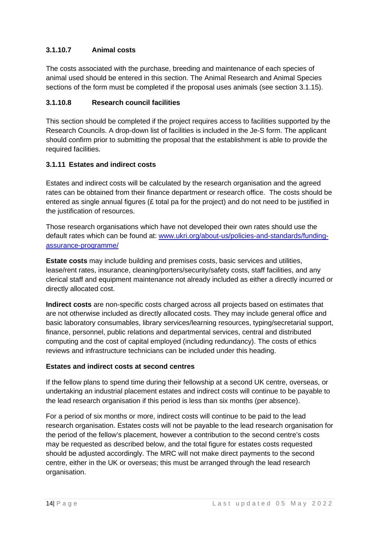#### **3.1.10.7 Animal costs**

The costs associated with the purchase, breeding and maintenance of each species of animal used should be entered in this section. The Animal Research and Animal Species sections of the form must be completed if the proposal uses animals (see section [3.1.15\)](#page-18-1).

#### **3.1.10.8 Research council facilities**

This section should be completed if the project requires access to facilities supported by the Research Councils. A drop-down list of facilities is included in the Je-S form. The applicant should confirm prior to submitting the proposal that the establishment is able to provide the required facilities.

#### <span id="page-16-0"></span>**3.1.11 Estates and indirect costs**

Estates and indirect costs will be calculated by the research organisation and the agreed rates can be obtained from their finance department or research office. The costs should be entered as single annual figures ( $E$  total pa for the project) and do not need to be justified in the justification of resources.

Those research organisations which have not developed their own rates should use the default rates which can be found at: [www.ukri.org/about-us/policies-and-standards/funding](http://www.ukri.org/about-us/policies-and-standards/funding-assurance-programme/)[assurance-programme/](http://www.ukri.org/about-us/policies-and-standards/funding-assurance-programme/)

**Estate costs** may include building and premises costs, basic services and utilities, lease/rent rates, insurance, cleaning/porters/security/safety costs, staff facilities, and any clerical staff and equipment maintenance not already included as either a directly incurred or directly allocated cost.

**Indirect costs** are non-specific costs charged across all projects based on estimates that are not otherwise included as directly allocated costs. They may include general office and basic laboratory consumables, library services/learning resources, typing/secretarial support, finance, personnel, public relations and departmental services, central and distributed computing and the cost of capital employed (including redundancy). The costs of ethics reviews and infrastructure technicians can be included under this heading.

#### **Estates and indirect costs at second centres**

If the fellow plans to spend time during their fellowship at a second UK centre, overseas, or undertaking an industrial placement estates and indirect costs will continue to be payable to the lead research organisation if this period is less than six months (per absence).

For a period of six months or more, indirect costs will continue to be paid to the lead research organisation. Estates costs will not be payable to the lead research organisation for the period of the fellow's placement, however a contribution to the second centre's costs may be requested as described below, and the total figure for estates costs requested should be adjusted accordingly. The MRC will not make direct payments to the second centre, either in the UK or overseas; this must be arranged through the lead research organisation.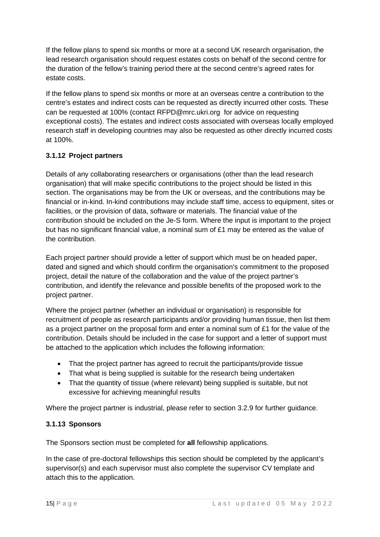If the fellow plans to spend six months or more at a second UK research organisation, the lead research organisation should request estates costs on behalf of the second centre for the duration of the fellow's training period there at the second centre's agreed rates for estate costs.

If the fellow plans to spend six months or more at an overseas centre a contribution to the centre's estates and indirect costs can be requested as directly incurred other costs. These can be requested at 100% (contact RFPD@mrc.ukri.org for advice on requesting exceptional costs). The estates and indirect costs associated with overseas locally employed research staff in developing countries may also be requested as other directly incurred costs at 100%.

#### <span id="page-17-0"></span>**3.1.12 Project partners**

Details of any collaborating researchers or organisations (other than the lead research organisation) that will make specific contributions to the project should be listed in this section. The organisations may be from the UK or overseas, and the contributions may be financial or in-kind. In-kind contributions may include staff time, access to equipment, sites or facilities, or the provision of data, software or materials. The financial value of the contribution should be included on the Je-S form. Where the input is important to the project but has no significant financial value, a nominal sum of £1 may be entered as the value of the contribution.

Each project partner should provide a letter of support which must be on headed paper, dated and signed and which should confirm the organisation's commitment to the proposed project, detail the nature of the collaboration and the value of the project partner's contribution, and identify the relevance and possible benefits of the proposed work to the project partner.

Where the project partner (whether an individual or organisation) is responsible for recruitment of people as research participants and/or providing human tissue, then list them as a project partner on the proposal form and enter a nominal sum of £1 for the value of the contribution. Details should be included in the case for support and a letter of support must be attached to the application which includes the following information:

- That the project partner has agreed to recruit the participants/provide tissue
- That what is being supplied is suitable for the research being undertaken
- That the quantity of tissue (where relevant) being supplied is suitable, but not excessive for achieving meaningful results

Where the project partner is industrial, please refer to section 3.2.9 for further guidance.

#### <span id="page-17-1"></span>**3.1.13 Sponsors**

The Sponsors section must be completed for **all** fellowship applications.

In the case of pre-doctoral fellowships this section should be completed by the applicant's supervisor(s) and each supervisor must also complete the supervisor CV template and attach this to the application.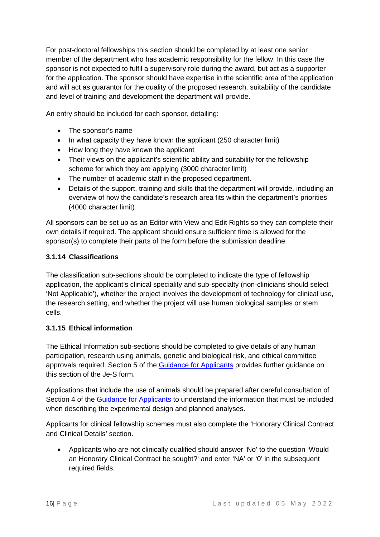For post-doctoral fellowships this section should be completed by at least one senior member of the department who has academic responsibility for the fellow. In this case the sponsor is not expected to fulfil a supervisory role during the award, but act as a supporter for the application. The sponsor should have expertise in the scientific area of the application and will act as guarantor for the quality of the proposed research, suitability of the candidate and level of training and development the department will provide.

An entry should be included for each sponsor, detailing:

- The sponsor's name
- In what capacity they have known the applicant (250 character limit)
- How long they have known the applicant
- Their views on the applicant's scientific ability and suitability for the fellowship scheme for which they are applying (3000 character limit)
- The number of academic staff in the proposed department.
- Details of the support, training and skills that the department will provide, including an overview of how the candidate's research area fits within the department's priorities (4000 character limit)

All sponsors can be set up as an Editor with View and Edit Rights so they can complete their own details if required. The applicant should ensure sufficient time is allowed for the sponsor(s) to complete their parts of the form before the submission deadline.

#### <span id="page-18-0"></span>**3.1.14 Classifications**

The classification sub-sections should be completed to indicate the type of fellowship application, the applicant's clinical speciality and sub-specialty (non-clinicians should select 'Not Applicable'), whether the project involves the development of technology for clinical use, the research setting, and whether the project will use human biological samples or stem cells.

#### <span id="page-18-1"></span>**3.1.15 Ethical information**

The Ethical Information sub-sections should be completed to give details of any human participation, research using animals, genetic and biological risk, and ethical committee approvals required. Section 5 of the [Guidance](http://www.mrc.ac.uk/documents/pdf/guidance-for-applicants-and-award-holders/) [for Applicants](http://www.mrc.ac.uk/documents/pdf/guidance-for-applicants-and-award-holders/) provides further guidance on this section of the Je-S form.

Applications that include the use of animals should be prepared after careful consultation of Section 4 of the [Guidance for Applicants](http://www.mrc.ac.uk/documents/pdf/guidance-for-applicants-and-award-holders/) to understand the information that must be included when describing the experimental design and planned analyses.

Applicants for clinical fellowship schemes must also complete the 'Honorary Clinical Contract and Clinical Details' section.

• Applicants who are not clinically qualified should answer 'No' to the question 'Would an Honorary Clinical Contract be sought?' and enter 'NA' or '0' in the subsequent required fields.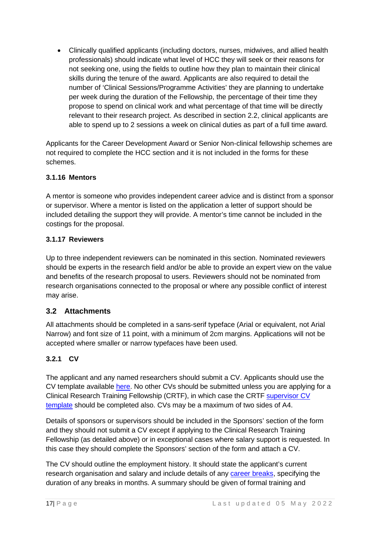• Clinically qualified applicants (including doctors, nurses, midwives, and allied health professionals) should indicate what level of HCC they will seek or their reasons for not seeking one, using the fields to outline how they plan to maintain their clinical skills during the tenure of the award. Applicants are also required to detail the number of 'Clinical Sessions/Programme Activities' they are planning to undertake per week during the duration of the Fellowship, the percentage of their time they propose to spend on clinical work and what percentage of that time will be directly relevant to their research project. As described in section [2.2,](#page-6-0) clinical applicants are able to spend up to 2 sessions a week on clinical duties as part of a full time award.

Applicants for the Career Development Award or Senior Non-clinical fellowship schemes are not required to complete the HCC section and it is not included in the forms for these schemes.

#### <span id="page-19-0"></span>**3.1.16 Mentors**

A mentor is someone who provides independent career advice and is distinct from a sponsor or supervisor. Where a mentor is listed on the application a letter of support should be included detailing the support they will provide. A mentor's time cannot be included in the costings for the proposal.

#### <span id="page-19-1"></span>**3.1.17 Reviewers**

Up to three independent reviewers can be nominated in this section. Nominated reviewers should be experts in the research field and/or be able to provide an expert view on the value and benefits of the research proposal to users. Reviewers should not be nominated from research organisations connected to the proposal or where any possible conflict of interest may arise.

#### <span id="page-19-2"></span>**3.2 Attachments**

All attachments should be completed in a sans-serif typeface (Arial or equivalent, not Arial Narrow) and font size of 11 point, with a minimum of 2cm margins. Applications will not be accepted where smaller or narrow typefaces have been used.

#### <span id="page-19-3"></span>**3.2.1 CV**

The applicant and any named researchers should submit a CV. Applicants should use the CV template available [here.](http://www.mrc.ac.uk/documents/doc/fellowship-cv-template/) No other CVs should be submitted unless you are applying for a Clinical Research Training Fellowship (CRTF), in which case the CRTF [supervisor CV](http://www.mrc.ac.uk/documents/doc/crtf-supervisor-cv-template/)  [template](http://www.mrc.ac.uk/documents/doc/crtf-supervisor-cv-template/) should be completed also. CVs may be a maximum of two sides of A4.

Details of sponsors or supervisors should be included in the Sponsors' section of the form and they should not submit a CV except if applying to the Clinical Research Training Fellowship (as detailed above) or in exceptional cases where salary support is requested. In this case they should complete the Sponsors' section of the form and attach a CV.

The CV should outline the employment history. It should state the applicant's current research organisation and salary and include details of any [career breaks,](http://www.mrc.ac.uk/skills-careers/additional-career-support/flexible-working-policies/) specifying the duration of any breaks in months. A summary should be given of formal training and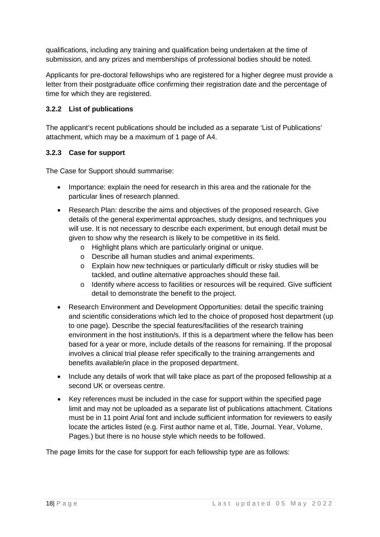qualifications, including any training and qualification being undertaken at the time of submission, and any prizes and memberships of professional bodies should be noted.

Applicants for pre-doctoral fellowships who are registered for a higher degree must provide a letter from their postgraduate office confirming their registration date and the percentage of time for which they are registered.

#### <span id="page-20-0"></span>**3.2.2 List of publications**

The applicant's recent publications should be included as a separate 'List of Publications' attachment, which may be a maximum of 1 page of A4.

#### <span id="page-20-1"></span>**3.2.3 Case for support**

The Case for Support should summarise:

- Importance: explain the need for research in this area and the rationale for the particular lines of research planned.
- Research Plan: describe the aims and objectives of the proposed research. Give details of the general experimental approaches, study designs, and techniques you will use. It is not necessary to describe each experiment, but enough detail must be given to show why the research is likely to be competitive in its field.
	- o Highlight plans which are particularly original or unique.
	- o Describe all human studies and animal experiments.
	- o Explain how new techniques or particularly difficult or risky studies will be tackled, and outline alternative approaches should these fail.
	- o Identify where access to facilities or resources will be required. Give sufficient detail to demonstrate the benefit to the project.
- Research Environment and Development Opportunities: detail the specific training and scientific considerations which led to the choice of proposed host department (up to one page). Describe the special features/facilities of the research training environment in the host institution/s. If this is a department where the fellow has been based for a year or more, include details of the reasons for remaining. If the proposal involves a clinical trial please refer specifically to the training arrangements and benefits available/in place in the proposed department.
- Include any details of work that will take place as part of the proposed fellowship at a second UK or overseas centre.
- Key references must be included in the case for support within the specified page limit and may not be uploaded as a separate list of publications attachment. Citations must be in 11 point Arial font and include sufficient information for reviewers to easily locate the articles listed (e.g. First author name et al, Title, Journal. Year, Volume, Pages.) but there is no house style which needs to be followed.

The page limits for the case for support for each fellowship type are as follows: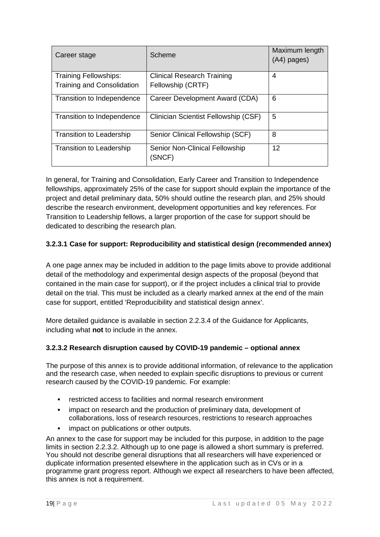| Career stage                      | Scheme                                   | Maximum length<br>$(A4)$ pages) |
|-----------------------------------|------------------------------------------|---------------------------------|
| <b>Training Fellowships:</b>      | <b>Clinical Research Training</b>        | 4                               |
| <b>Training and Consolidation</b> | Fellowship (CRTF)                        |                                 |
| Transition to Independence        | Career Development Award (CDA)           | 6                               |
| Transition to Independence        | Clinician Scientist Fellowship (CSF)     | 5                               |
| <b>Transition to Leadership</b>   | Senior Clinical Fellowship (SCF)         | 8                               |
| <b>Transition to Leadership</b>   | Senior Non-Clinical Fellowship<br>(SNCF) | 12                              |

In general, for Training and Consolidation, Early Career and Transition to Independence fellowships, approximately 25% of the case for support should explain the importance of the project and detail preliminary data, 50% should outline the research plan, and 25% should describe the research environment, development opportunities and key references. For Transition to Leadership fellows, a larger proportion of the case for support should be dedicated to describing the research plan.

#### **3.2.3.1 Case for support: Reproducibility and statistical design (recommended annex)**

A one page annex may be included in addition to the page limits above to provide additional detail of the methodology and experimental design aspects of the proposal (beyond that contained in the main case for support), or if the project includes a clinical trial to provide detail on the trial. This must be included as a clearly marked annex at the end of the main case for support, entitled 'Reproducibility and statistical design annex'.

More detailed guidance is available in section 2.2.3.4 of the Guidance for Applicants, including what **not** to include in the annex.

#### **3.2.3.2 Research disruption caused by COVID-19 pandemic – optional annex**

The purpose of this annex is to provide additional information, of relevance to the application and the research case, when needed to explain specific disruptions to previous or current research caused by the COVID-19 pandemic. For example:

- restricted access to facilities and normal research environment
- impact on research and the production of preliminary data, development of collaborations, loss of research resources, restrictions to research approaches
- impact on publications or other outputs.

An annex to the case for support may be included for this purpose, in addition to the page limits in section 2.2.3.2. Although up to one page is allowed a short summary is preferred. You should not describe general disruptions that all researchers will have experienced or duplicate information presented elsewhere in the application such as in CVs or in a programme grant progress report. Although we expect all researchers to have been affected, this annex is not a requirement.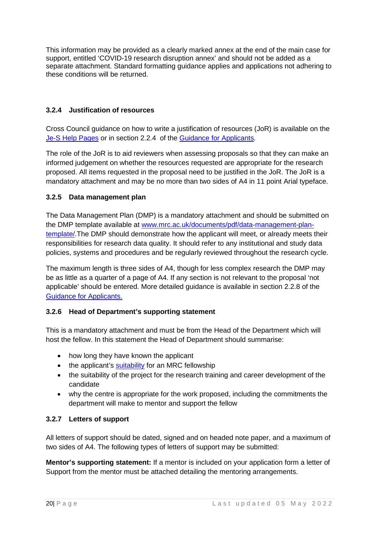This information may be provided as a clearly marked annex at the end of the main case for support, entitled 'COVID-19 research disruption annex' and should not be added as a separate attachment. Standard formatting guidance applies and applications not adhering to these conditions will be returned.

#### <span id="page-22-0"></span>**3.2.4 Justification of resources**

Cross Council guidance on how to write a justification of resources (JoR) is available on the [Je-S Help Pages](https://je-s.rcuk.ac.uk/Handbook/Index.htm) or in section 2.2.4 of the Guidance [for Applicants.](http://www.mrc.ac.uk/documents/pdf/guidance-for-applicants-and-award-holders/)

The role of the JoR is to aid reviewers when assessing proposals so that they can make an informed judgement on whether the resources requested are appropriate for the research proposed. All items requested in the proposal need to be justified in the JoR. The JoR is a mandatory attachment and may be no more than two sides of A4 in 11 point Arial typeface.

#### <span id="page-22-1"></span>**3.2.5 Data management plan**

The Data Management Plan (DMP) is a mandatory attachment and should be submitted on the DMP template available at www.mrc.ac.uk/documents/pdf/data-management-plantemplate/.The DMP should demonstrate how the applicant will meet, or already meets their responsibilities for research data quality. It should refer to any institutional and study data policies, systems and procedures and be regularly reviewed throughout the research cycle.

The maximum length is three sides of A4, though for less complex research the DMP may be as little as a quarter of a page of A4. If any section is not relevant to the proposal 'not applicable' should be entered. More detailed guidance is available in section 2.2.8 of the [Guidance](http://www.mrc.ac.uk/documents/pdf/guidance-for-applicants-and-award-holders/) [for Applicants.](http://www.mrc.ac.uk/documents/pdf/guidance-for-applicants-and-award-holders/)

#### <span id="page-22-2"></span>**3.2.6 Head of Department's supporting statement**

This is a mandatory attachment and must be from the Head of the Department which will host the fellow. In this statement the Head of Department should summarise:

- how long they have known the applicant
- the applicant's [suitability](http://www.mrc.ac.uk/skills-careers/skills-needed-to-win-support/) for an MRC fellowship
- the suitability of the project for the research training and career development of the candidate
- why the centre is appropriate for the work proposed, including the commitments the department will make to mentor and support the fellow

#### <span id="page-22-3"></span>**3.2.7 Letters of support**

All letters of support should be dated, signed and on headed note paper, and a maximum of two sides of A4. The following types of letters of support may be submitted:

**Mentor's supporting statement:** If a mentor is included on your application form a letter of Support from the mentor must be attached detailing the mentoring arrangements.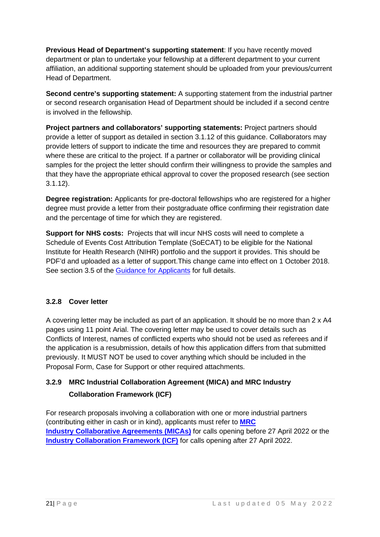**Previous Head of Department's supporting statement**: If you have recently moved department or plan to undertake your fellowship at a different department to your current affiliation, an additional supporting statement should be uploaded from your previous/current Head of Department.

**Second centre's supporting statement:** A supporting statement from the industrial partner or second research organisation Head of Department should be included if a second centre is involved in the fellowship.

**Project partners and collaborators' supporting statements:** Project partners should provide a letter of support as detailed in section [3.1.12](#page-17-0) of this guidance. Collaborators may provide letters of support to indicate the time and resources they are prepared to commit where these are critical to the project. If a partner or collaborator will be providing clinical samples for the project the letter should confirm their willingness to provide the samples and that they have the appropriate ethical approval to cover the proposed research (see section [3.1.12\)](#page-17-0).

**Degree registration:** Applicants for pre-doctoral fellowships who are registered for a higher degree must provide a letter from their postgraduate office confirming their registration date and the percentage of time for which they are registered.

**Support for NHS costs:** Projects that will incur NHS costs will need to complete a Schedule of Events Cost Attribution Template (SoECAT) to be eligible for the National Institute for Health Research (NIHR) portfolio and the support it provides. This should be PDF'd and uploaded as a letter of support.This change came into effect on 1 October 2018. See section 3.5 of the [Guidance](http://www.mrc.ac.uk/documents/pdf/guidance-for-applicants-and-award-holders/) [for Applicants](http://www.mrc.ac.uk/documents/pdf/guidance-for-applicants-and-award-holders/) for full details.

#### <span id="page-23-0"></span>**3.2.8 Cover letter**

A covering letter may be included as part of an application. It should be no more than 2 x A4 pages using 11 point Arial. The covering letter may be used to cover details such as Conflicts of Interest, names of conflicted experts who should not be used as referees and if the application is a resubmission, details of how this application differs from that submitted previously. It MUST NOT be used to cover anything which should be included in the Proposal Form, Case for Support or other required attachments.

# <span id="page-23-1"></span>**3.2.9 MRC Industrial Collaboration Agreement (MICA) and MRC Industry Collaboration Framework (ICF)**

For research proposals involving a collaboration with one or more industrial partners (contributing either in cash or in kind), applicants must refer to **[MRC](https://www.ukri.org/councils/mrc/guidance-for-applicants/types-of-funding-we-offer/mrc-industry-collaboration-agreement/)  [Industry Collaborative Agreements \(MICAs\)](https://www.ukri.org/councils/mrc/guidance-for-applicants/types-of-funding-we-offer/mrc-industry-collaboration-agreement/)** for calls opening before 27 April 2022 or the **[Industry Collaboration Framework \(ICF\)](https://www.ukri.org/councils/mrc/guidance-for-applicants/types-of-funding-we-offer/mrc-industry-collaboration-framework-icf/)** for calls opening after 27 April 2022.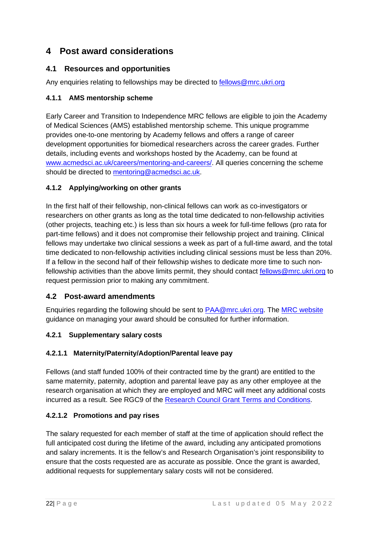# <span id="page-24-0"></span>**4 Post award considerations**

## <span id="page-24-1"></span>**4.1 Resources and opportunities**

Any enquiries relating to fellowships may be directed to [fellows@mrc.ukri.org](mailto:fellows@mrc.ukri.org)

#### <span id="page-24-2"></span>**4.1.1 AMS mentorship scheme**

Early Career and Transition to Independence MRC fellows are eligible to join the Academy of Medical Sciences (AMS) established mentorship scheme. This unique programme provides one-to-one mentoring by Academy fellows and offers a range of career development opportunities for biomedical researchers across the career grades. Further details, including events and workshops hosted by the Academy, can be found at www.acmedsci.ac.uk/careers/mentoring-and-careers/. All queries concerning the scheme should be directed to [mentoring@acmedsci.ac.uk.](mailto:mentoring@acmedsci.ac.uk)

#### <span id="page-24-3"></span>**4.1.2 Applying/working on other grants**

In the first half of their fellowship, non-clinical fellows can work as co-investigators or researchers on other grants as long as the total time dedicated to non-fellowship activities (other projects, teaching etc.) is less than six hours a week for full-time fellows (pro rata for part-time fellows) and it does not compromise their fellowship project and training. Clinical fellows may undertake two clinical sessions a week as part of a full-time award, and the total time dedicated to non-fellowship activities including clinical sessions must be less than 20%. If a fellow in the second half of their fellowship wishes to dedicate more time to such nonfellowship activities than the above limits permit, they should contact [fellows@mrc.ukri.org](mailto:fellows@mrc.ukri.org) to request permission prior to making any commitment.

#### <span id="page-24-4"></span>**4.2 Post-award amendments**

Enquiries regarding the following should be sent to [PAA@mrc.ukri.org.](mailto:PAA@mrc.ukri.org) The [MRC website](http://www.mrc.ac.uk/funding/guidance-for-mrc-award-holders/managing-your-award/) guidance on managing your award should be consulted for further information.

#### <span id="page-24-5"></span>**4.2.1 Supplementary salary costs**

#### **4.2.1.1 Maternity/Paternity/Adoption/Parental leave pay**

Fellows (and staff funded 100% of their contracted time by the grant) are entitled to the same maternity, paternity, adoption and parental leave pay as any other employee at the research organisation at which they are employed and MRC will meet any additional costs incurred as a result. See RGC9 of the [Research Council Grant Terms and Conditions.](https://www.ukri.org/funding/information-for-award-holders/grant-terms-and-conditions/)

#### **4.2.1.2 Promotions and pay rises**

The salary requested for each member of staff at the time of application should reflect the full anticipated cost during the lifetime of the award, including any anticipated promotions and salary increments. It is the fellow's and Research Organisation's joint responsibility to ensure that the costs requested are as accurate as possible. Once the grant is awarded, additional requests for supplementary salary costs will not be considered.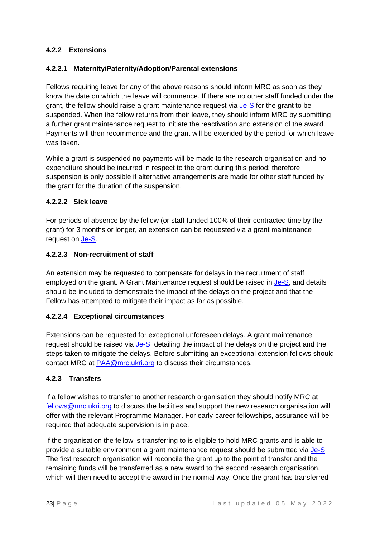#### <span id="page-25-0"></span>**4.2.2 Extensions**

#### **4.2.2.1 Maternity/Paternity/Adoption/Parental extensions**

Fellows requiring leave for any of the above reasons should inform MRC as soon as they know the date on which the leave will commence. If there are no other staff funded under the grant, the fellow should raise a grant maintenance request via [Je-S](https://je-s.rcuk.ac.uk/JeS2WebLoginSite/Login.aspx) for the grant to be suspended. When the fellow returns from their leave, they should inform MRC by submitting a further grant maintenance request to initiate the reactivation and extension of the award. Payments will then recommence and the grant will be extended by the period for which leave was taken.

While a grant is suspended no payments will be made to the research organisation and no expenditure should be incurred in respect to the grant during this period; therefore suspension is only possible if alternative arrangements are made for other staff funded by the grant for the duration of the suspension.

#### **4.2.2.2 Sick leave**

For periods of absence by the fellow (or staff funded 100% of their contracted time by the grant) for 3 months or longer, an extension can be requested via a grant maintenance request on [Je-S.](https://je-s.rcuk.ac.uk/JeS2WebLoginSite/Login.aspx)

#### **4.2.2.3 Non-recruitment of staff**

An extension may be requested to compensate for delays in the recruitment of staff employed on the grant. A Grant Maintenance request should be raised in [Je-S,](https://je-s.rcuk.ac.uk/JeS2WebLoginSite/Login.aspx) and details should be included to demonstrate the impact of the delays on the project and that the Fellow has attempted to mitigate their impact as far as possible.

#### **4.2.2.4 Exceptional circumstances**

Extensions can be requested for exceptional unforeseen delays. A grant maintenance request should be raised via [Je-S,](https://je-s.rcuk.ac.uk/JeS2WebLoginSite/Login.aspx) detailing the impact of the delays on the project and the steps taken to mitigate the delays. Before submitting an exceptional extension fellows should contact MRC at [PAA@mrc.ukri.org](mailto:PAA@mrc.ukri.org) to discuss their circumstances.

#### <span id="page-25-1"></span>**4.2.3 Transfers**

If a fellow wishes to transfer to another research organisation they should notify MRC at [fellows@mrc.ukri.org](mailto:fellows@mrc.ukri.org) to discuss the facilities and support the new research organisation will offer with the relevant Programme Manager. For early-career fellowships, assurance will be required that adequate supervision is in place.

If the organisation the fellow is transferring to is eligible to hold MRC grants and is able to provide a suitable environment a grant maintenance request should be submitted via [Je-S.](https://je-s.rcuk.ac.uk/JeS2WebLoginSite/Login.aspx) The first research organisation will reconcile the grant up to the point of transfer and the remaining funds will be transferred as a new award to the second research organisation, which will then need to accept the award in the normal way. Once the grant has transferred